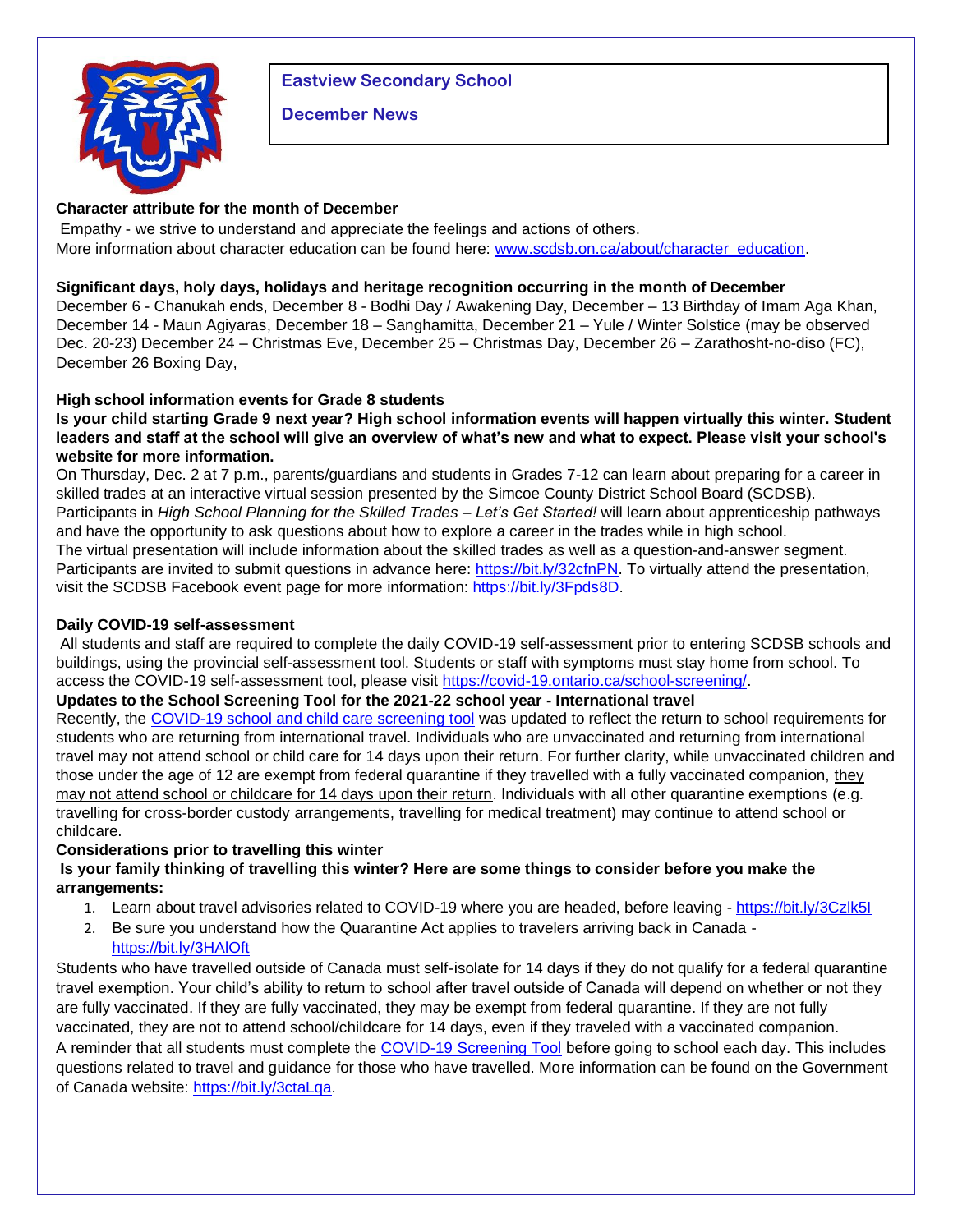# **Eastview Secondary School**



#### **December News**

## **Character attribute for the month of December**

Empathy - we strive to understand and appreciate the feelings and actions of others. More information about character education can be found here: [www.scdsb.on.ca/about/character\\_education.](http://www.scdsb.on.ca/about/character_education)

### **Significant days, holy days, holidays and heritage recognition occurring in the month of December**

December 6 - Chanukah ends, December 8 - Bodhi Day / Awakening Day, December – 13 Birthday of Imam Aga Khan, December 14 - Maun Agiyaras, December 18 – Sanghamitta, December 21 – Yule / Winter Solstice (may be observed Dec. 20-23) December 24 – Christmas Eve, December 25 – Christmas Day, December 26 – Zarathosht-no-diso (FC), December 26 Boxing Day,

# **High school information events for Grade 8 students**

**Is your child starting Grade 9 next year? High school information events will happen virtually this winter. Student leaders and staff at the school will give an overview of what's new and what to expect. Please visit your school's website for more information.**

On Thursday, Dec. 2 at 7 p.m., parents/guardians and students in Grades 7-12 can learn about preparing for a career in skilled trades at an interactive virtual session presented by the Simcoe County District School Board (SCDSB). Participants in *High School Planning for the Skilled Trades – Let's Get Started!* will learn about apprenticeship pathways and have the opportunity to ask questions about how to explore a career in the trades while in high school. The virtual presentation will include information about the skilled trades as well as a question-and-answer segment. Participants are invited to submit questions in advance here: [https://bit.ly/32cfnPN.](https://bit.ly/32cfnPN) To virtually attend the presentation, visit the SCDSB Facebook event page for more information: [https://bit.ly/3Fpds8D.](https://bit.ly/3Fpds8D)

### **Daily COVID-19 self-assessment**

All students and staff are required to complete the daily COVID-19 self-assessment prior to entering SCDSB schools and buildings, using the provincial self-assessment tool. Students or staff with symptoms must stay home from school. To access the COVID-19 self-assessment tool, please visit [https://covid-19.ontario.ca/school-screening/.](https://covid-19.ontario.ca/school-screening/)

### **Updates to the School Screening Tool for the 2021-22 school year - International travel**

Recently, the [COVID-19 school and child care screening tool](https://can01.safelinks.protection.outlook.com/?url=https%3A%2F%2Fcovid-19.ontario.ca%2Fschool-screening%2F&data=04%7C01%7Cafarrell%40scdsb.on.ca%7Cf7af1515da514fb5da6808d99a358863%7C573d7e64d5434fd8b3da0c64adc4eb35%7C1%7C0%7C637710376967295545%7CUnknown%7CTWFpbGZsb3d8eyJWIjoiMC4wLjAwMDAiLCJQIjoiV2luMzIiLCJBTiI6Ik1haWwiLCJXVCI6Mn0%3D%7C1000&sdata=0%2Fcpi7wGQBdSYOhcYDF4Kq%2FUsjD4Cn4Ie%2BSKwOc826E%3D&reserved=0) was updated to reflect the return to school requirements for students who are returning from international travel. Individuals who are unvaccinated and returning from international travel may not attend school or child care for 14 days upon their return. For further clarity, while unvaccinated children and those under the age of 12 are exempt from federal quarantine if they travelled with a fully vaccinated companion, they may not attend school or childcare for 14 days upon their return. Individuals with all other quarantine exemptions (e.g. travelling for cross-border custody arrangements, travelling for medical treatment) may continue to attend school or childcare.

### **Considerations prior to travelling this winter**

# **Is your family thinking of travelling this winter? Here are some things to consider before you make the arrangements:**

- 1. Learn about travel advisories related to COVID-19 where you are headed, before leaving <https://bit.ly/3Czlk5I>
- 2. Be sure you understand how the Quarantine Act applies to travelers arriving back in Canada <https://bit.ly/3HAlOft>

Students who have travelled outside of Canada must self-isolate for 14 days if they do not qualify for a federal quarantine travel exemption. Your child's ability to return to school after travel outside of Canada will depend on whether or not they are fully vaccinated. If they are fully vaccinated, they may be exempt from federal quarantine. If they are not fully vaccinated, they are not to attend school/childcare for 14 days, even if they traveled with a vaccinated companion. A reminder that all students must complete the [COVID-19 Screening Tool](https://can01.safelinks.protection.outlook.com/?url=https%3A%2F%2Fcovid-19.ontario.ca%2Fschool-screening%2F&data=04%7C01%7Cafarrell%40scdsb.on.ca%7C18532d912f724ba97f3608d9aac26996%7C573d7e64d5434fd8b3da0c64adc4eb35%7C1%7C0%7C637728574250521199%7CUnknown%7CTWFpbGZsb3d8eyJWIjoiMC4wLjAwMDAiLCJQIjoiV2luMzIiLCJBTiI6Ik1haWwiLCJXVCI6Mn0%3D%7C3000&sdata=EPyHQKA7qmDazgdoqjOncQqim7R%2BGvJiVsYSSsE6ybU%3D&reserved=0) before going to school each day. This includes questions related to travel and guidance for those who have travelled. More information can be found on the Government of Canada website: [https://bit.ly/3ctaLqa.](https://bit.ly/3ctaLqa)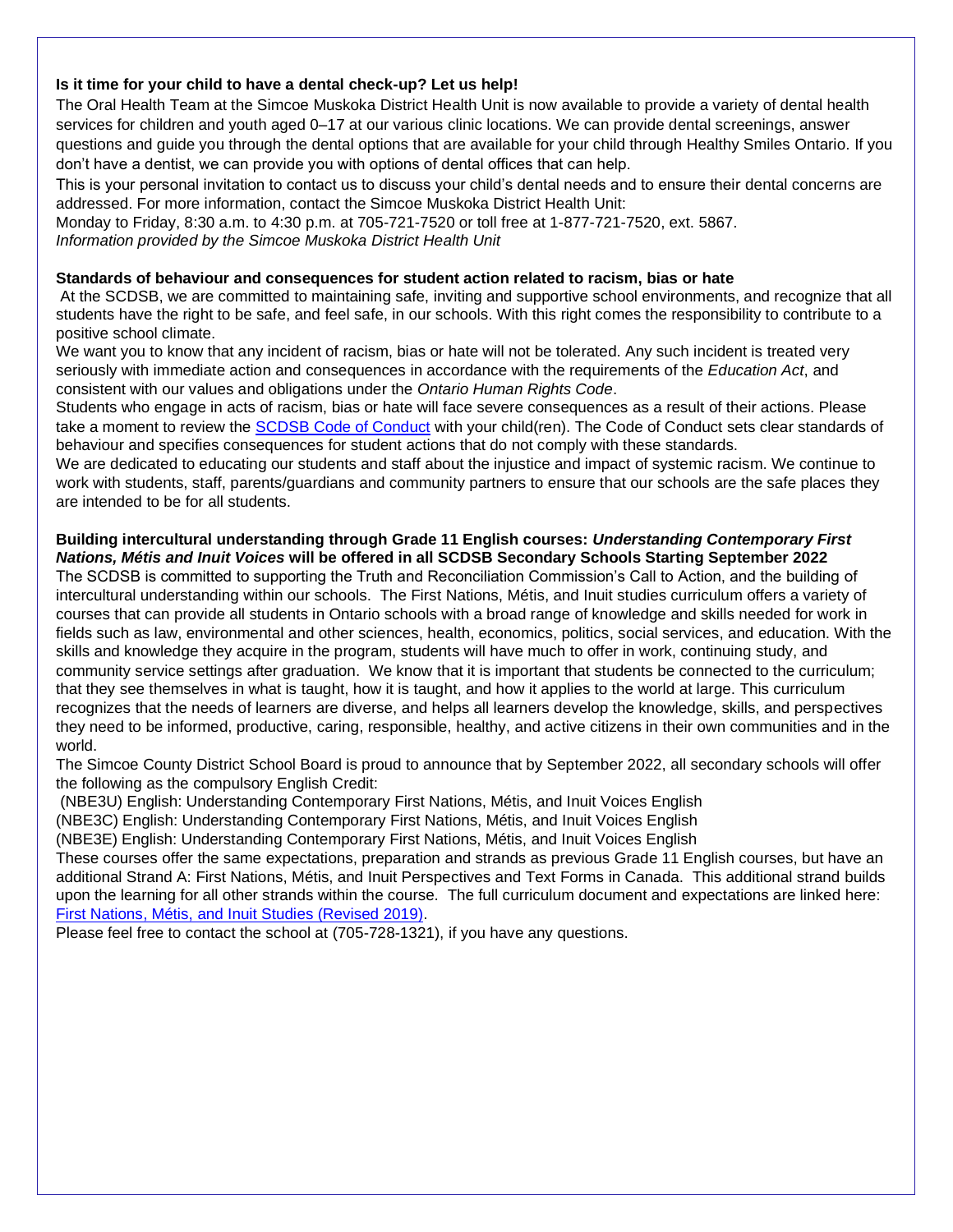#### **Is it time for your child to have a dental check-up? Let us help!**

The Oral Health Team at the Simcoe Muskoka District Health Unit is now available to provide a variety of dental health services for children and youth aged 0–17 at our various clinic locations. We can provide dental screenings, answer questions and guide you through the dental options that are available for your child through Healthy Smiles Ontario. If you don't have a dentist, we can provide you with options of dental offices that can help.

This is your personal invitation to contact us to discuss your child's dental needs and to ensure their dental concerns are addressed. For more information, contact the Simcoe Muskoka District Health Unit:

Monday to Friday, 8:30 a.m. to 4:30 p.m. at 705-721-7520 or toll free at 1-877-721-7520, ext. 5867. *Information provided by the Simcoe Muskoka District Health Unit*

#### **Standards of behaviour and consequences for student action related to racism, bias or hate**

At the SCDSB, we are committed to maintaining safe, inviting and supportive school environments, and recognize that all students have the right to be safe, and feel safe, in our schools. With this right comes the responsibility to contribute to a positive school climate.

We want you to know that any incident of racism, bias or hate will not be tolerated. Any such incident is treated very seriously with immediate action and consequences in accordance with the requirements of the *Education Act*, and consistent with our values and obligations under the *Ontario Human Rights Code*.

Students who engage in acts of racism, bias or hate will face severe consequences as a result of their actions. Please take a moment to review the [SCDSB Code of Conduct](https://scdsb.on.ca/elementary/safe_schools) with your child(ren). The Code of Conduct sets clear standards of behaviour and specifies consequences for student actions that do not comply with these standards.

We are dedicated to educating our students and staff about the injustice and impact of systemic racism. We continue to work with students, staff, parents/guardians and community partners to ensure that our schools are the safe places they are intended to be for all students.

#### **Building intercultural understanding through Grade 11 English courses:** *Understanding Contemporary First Nations, Métis and Inuit Voices* **will be offered in all SCDSB Secondary Schools Starting September 2022**

The SCDSB is committed to supporting the Truth and Reconciliation Commission's Call to Action, and the building of intercultural understanding within our schools. The First Nations, Métis, and Inuit studies curriculum offers a variety of courses that can provide all students in Ontario schools with a broad range of knowledge and skills needed for work in fields such as law, environmental and other sciences, health, economics, politics, social services, and education. With the skills and knowledge they acquire in the program, students will have much to offer in work, continuing study, and community service settings after graduation. We know that it is important that students be connected to the curriculum; that they see themselves in what is taught, how it is taught, and how it applies to the world at large. This curriculum recognizes that the needs of learners are diverse, and helps all learners develop the knowledge, skills, and perspectives they need to be informed, productive, caring, responsible, healthy, and active citizens in their own communities and in the world.

The Simcoe County District School Board is proud to announce that by September 2022, all secondary schools will offer the following as the compulsory English Credit:

(NBE3U) English: Understanding Contemporary First Nations, Métis, and Inuit Voices English

(NBE3C) English: Understanding Contemporary First Nations, Métis, and Inuit Voices English

(NBE3E) English: Understanding Contemporary First Nations, Métis, and Inuit Voices English

These courses offer the same expectations, preparation and strands as previous Grade 11 English courses, but have an additional Strand A: First Nations, Métis, and Inuit Perspectives and Text Forms in Canada. This additional strand builds upon the learning for all other strands within the course. The full curriculum document and expectations are linked here: [First Nations, Métis, and Inuit Studies \(Revised 2019\).](https://can01.safelinks.protection.outlook.com/?url=http%3A%2F%2Fwww.edu.gov.on.ca%2Feng%2Fcurriculum%2Fsecondary%2FFirst-nations-metis-inuit-studies-grades-9-12.pdf&data=04%7C01%7Cafarrell%40scdsb.on.ca%7C01bc6d1c199f4e9cddf508d9af6da08d%7C573d7e64d5434fd8b3da0c64adc4eb35%7C1%7C0%7C637733707635806987%7CUnknown%7CTWFpbGZsb3d8eyJWIjoiMC4wLjAwMDAiLCJQIjoiV2luMzIiLCJBTiI6Ik1haWwiLCJXVCI6Mn0%3D%7C3000&sdata=u5gtK5rSJoIMJbqZhuDM4BRvWhuFTMRsEaxZ0zc5V0Y%3D&reserved=0)

Please feel free to contact the school at (705-728-1321), if you have any questions.